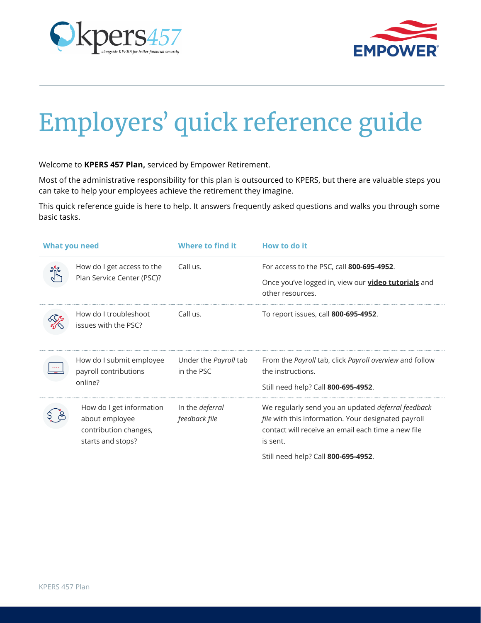



## Employers' quick reference guide

Welcome to **KPERS 457 Plan,** serviced by Empower Retirement.

Most of the administrative responsibility for this plan is outsourced to KPERS, but there are valuable steps you can take to help your employees achieve the retirement they imagine.

This quick reference guide is here to help. It answers frequently asked questions and walks you through some basic tasks.

| <b>What you need</b> |                                                                                          | Where to find it                           | How to do it                                                                                                                                                                       |
|----------------------|------------------------------------------------------------------------------------------|--------------------------------------------|------------------------------------------------------------------------------------------------------------------------------------------------------------------------------------|
|                      | How do I get access to the<br>Plan Service Center (PSC)?                                 | Call us.                                   | For access to the PSC, call 800-695-4952.<br>Once you've logged in, view our <b>video tutorials</b> and<br>other resources.                                                        |
|                      | How do I troubleshoot<br>issues with the PSC?                                            | Call us.                                   | To report issues, call 800-695-4952.                                                                                                                                               |
|                      | How do I submit employee<br>payroll contributions<br>online?                             | Under the <i>Payroll</i> tab<br>in the PSC | From the Payroll tab, click Payroll overview and follow<br>the instructions.<br>Still need help? Call 800-695-4952.                                                                |
|                      | How do I get information<br>about employee<br>contribution changes,<br>starts and stops? | In the <i>deferral</i><br>feedback file    | We regularly send you an updated deferral feedback<br><i>file</i> with this information. Your designated payroll<br>contact will receive an email each time a new file<br>is sent. |
|                      |                                                                                          |                                            | Still need help? Call 800-695-4952.                                                                                                                                                |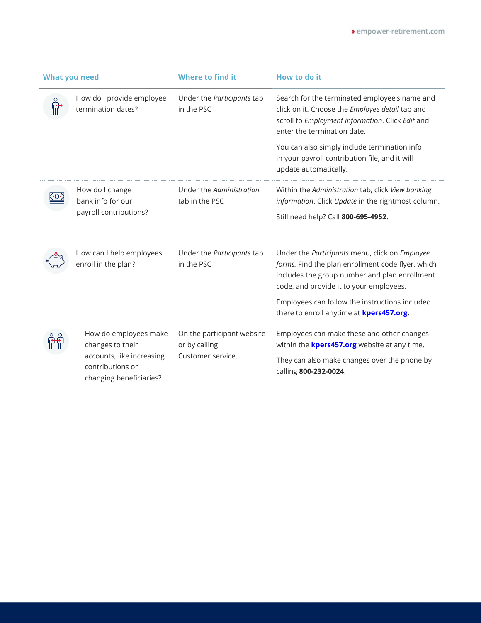| <b>What you need</b> |                                                                                                                       | <b>Where to find it</b>                                          | How to do it                                                                                                                                                                                                                                                                                         |
|----------------------|-----------------------------------------------------------------------------------------------------------------------|------------------------------------------------------------------|------------------------------------------------------------------------------------------------------------------------------------------------------------------------------------------------------------------------------------------------------------------------------------------------------|
|                      | How do I provide employee<br>termination dates?                                                                       | Under the Participants tab<br>in the PSC                         | Search for the terminated employee's name and<br>click on it. Choose the Employee detail tab and<br>scroll to Employment information. Click Edit and<br>enter the termination date.                                                                                                                  |
|                      |                                                                                                                       |                                                                  | You can also simply include termination info<br>in your payroll contribution file, and it will<br>update automatically.                                                                                                                                                                              |
|                      | How do I change<br>bank info for our<br>payroll contributions?                                                        | Under the Administration<br>tab in the PSC                       | Within the Administration tab, click View banking<br>information. Click Update in the rightmost column.<br>Still need help? Call 800-695-4952.                                                                                                                                                       |
|                      | How can I help employees<br>enroll in the plan?                                                                       | Under the Participants tab<br>in the PSC                         | Under the Participants menu, click on Employee<br>forms. Find the plan enrollment code flyer, which<br>includes the group number and plan enrollment<br>code, and provide it to your employees.<br>Employees can follow the instructions included<br>there to enroll anytime at <b>kpers457.org.</b> |
|                      | How do employees make<br>changes to their<br>accounts, like increasing<br>contributions or<br>changing beneficiaries? | On the participant website<br>or by calling<br>Customer service. | Employees can make these and other changes<br>within the <b>kpers457.org</b> website at any time.<br>They can also make changes over the phone by<br>calling 800-232-0024.                                                                                                                           |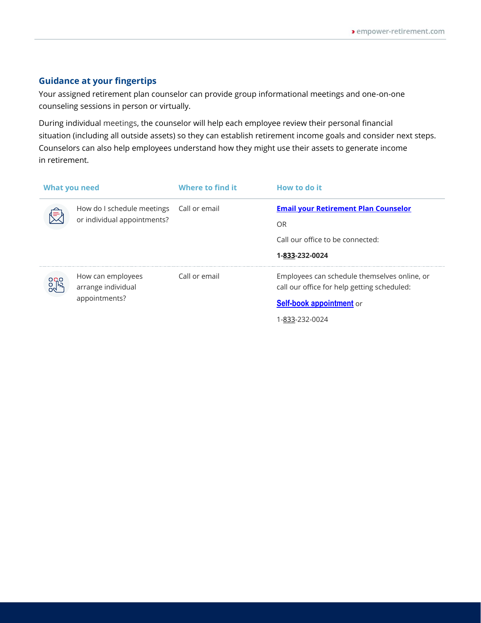## **Guidance at your fingertips**

Your assigned retirement plan counselor can provide group informational meetings and one-on-one counseling sessions in person or virtually.

During individual meetings, the counselor will help each employee review their personal financial situation (including all outside assets) so they can establish retirement income goals and consider next steps. Counselors can also help employees understand how they might use their assets to generate income in retirement.

| What you need |                                          | Where to find it | How to do it                                                                                |
|---------------|------------------------------------------|------------------|---------------------------------------------------------------------------------------------|
|               | How do I schedule meetings Call or email |                  | <b>Email your Retirement Plan Counselor</b>                                                 |
|               | or individual appointments?              |                  | OR                                                                                          |
|               |                                          |                  | Call our office to be connected:                                                            |
|               |                                          |                  | 1-833-232-0024                                                                              |
|               | How can employees<br>arrange individual  | Call or email    | Employees can schedule themselves online, or<br>call our office for help getting scheduled: |
|               | appointments?                            |                  | Self-book appointment or                                                                    |
|               |                                          |                  | 1-833-232-0024                                                                              |